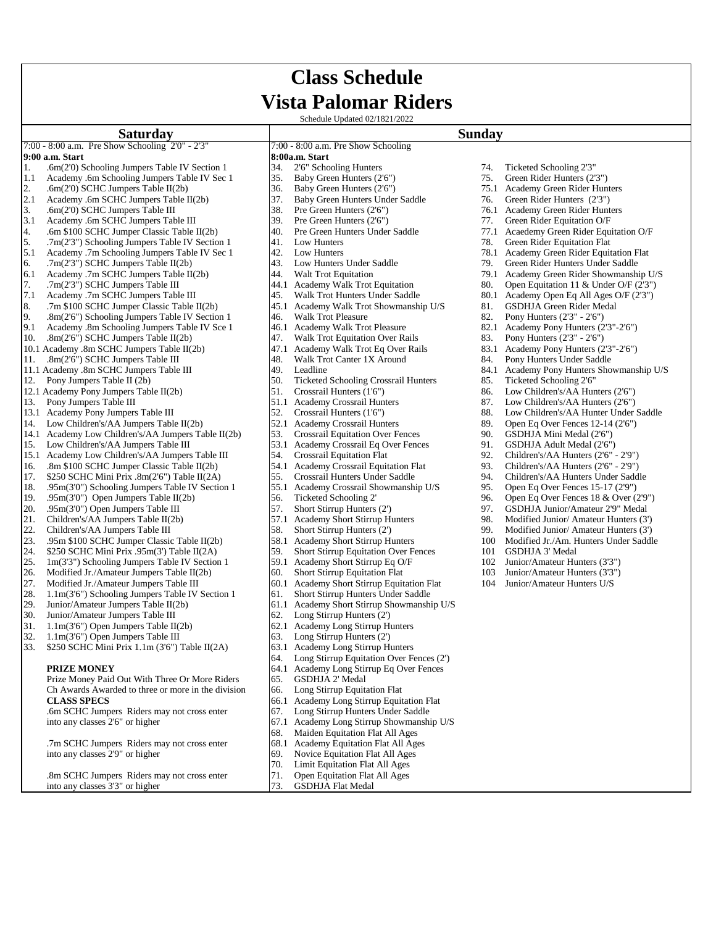# **Class Schedule Vista Palomar Riders**

Schedule Updated 02/1821/2022

#### **Sunday**

#### 7:00 - 8:00 a.m. Pre Show Schooling 2'0" - 2'3" 7:00 - 8:00 a.m. Pre Show Schooling **9:00 a.m. Start** 1. .6m(2'0) Schooling Jumpers Table IV Section 1  $34.$  2'6" Schooling Hunters 74. Ticketed Schooling 2'3" 1.1 Academy .6m Schooling Jumpers Table IV Sec 1 35. Baby Green Hunters (2'6") 75. Green Rider Hunters (2'3") 2. .6m(2'0) SCHC Jumpers Table II(2b) 36. Baby Green Hunters (2'6") 75.1 Academy Green Rider Hunters (2'6") 37. Baby Green Hunters Under Saddle 76. Green Rider Hunters (2'3") 4. .6m \$100 SCHC Jumper Classic Table II(2b) 40. Pre Green Hunters Under Saddle 77.1 6.1 Academy .7m SCHC Jumpers Table II(2b)  $\begin{array}{ccc} 44. & \text{Walt Trot Equation} \\ 7. & \text{7m(2'3'')} \text{ SCHC Jumpers Table III} \end{array}$  44.1 Academy Walk Trot Equitation 80. 10.1 Academy .8m SCHC Jumpers Table II(2b) 47.1 Academy Walk Trot Eq Over Rails 83.1 Academy Pony Hunters (2'3<br>11. .8m(2'6") SCHC Jumpers Table III 48. Walk Trot Canter 1X Around 84. Pony Hunters Under Saddle 11. .8m(2'6") SCHC Jumpers Table III 48. Walk Trot Canter 1X Around 84. 11.1 Academy .8m SCHC Jumpers Table III 49. Leadline 84.1 Academy Pony Hunters Showmanship U/S 12. Pony Jumpers Table II (2b) 50. Ticketed Schooling Crossrail Hunters 85. Ticketed Schooling 2'6" 12.1 Academy Pony Jumpers Table II(2b) 51. Crossrail Hunters (1'6") 86. Low Children's/AA Hunters (2'6")<br>13. Pony Jumpers Table III 87. Low Children's/AA Hunters 87. Low Children's/AA Hunters (2'6") 13. Pony Jumpers Table III 1.1 Academy Crossrail Hunters 87. Low Children's/AA Hunters (2'6")<br>13.1 Academy Pony Jumpers Table III 52. Crossrail Hunters (1'6") 88. Low Children's/AA Hunter Under 13.1 Academy Pony Jumpers Table III  $\begin{bmatrix} 52. \end{bmatrix}$  Crossrail Hunters (1'6") 88. Low Children's/AA Hunter Under Saddle<br>14. Low Children's/AA Jumpers Table II(2b) 52.1 Academy Crossrail Hunters 89. Open Eq Over Fences 12 Low Children's/AA Jumpers Table II(2b) 14.1 Academy Low Children's/AA Jumpers Table II(2b) 53. Crossrail Equitation Over Fences 90. GSDHJA Mini Medal (2'6") 53.1 Academy Crossrail Equitation Over Fences 91. GSDHJA Adult Medal (2'6") 15. Low Children's/AA Jumpers Table III 53.1 Academy Crossrail Eq Over Fences 91. GSDHJA Adult Medal (2'6")<br>15.1 Academy Low Children's/AA Jumpers Table III 54. Crossrail Equitation Flat 92. Children's/AA Hunters (2'6" - 2 15.1 Academy Low Children's/AA Jumpers Table III 54. Crossrail Equitation Flat 92. Children's/AA Hunters (2'6" - 2'9")<br>16. Sm \$100 SCHC Jumper Classic Table II(2b) 54.1 Academy Crossrail Equitation Flat 93. Children's/AA H 16. .8m \$100 SCHC Jumper Classic Table II(2b) 54.1 Academy Crossrail Equitation Flat 93. Children's/AA Hunters (2'6" - 2'9") 55. Crossrail Hunters Under Saddle 94. Children's/AA Hunters Under Saddle 17. \$250 SCHC Mini Prix .8m(2'6") Table II(2A) 55. Crossrail Hunters Under Saddle 94. Children's/AA Hunters Under Sadd<br>18. 95m(3'0") Schooling Jumpers Table IV Section 1 55.1 Academy Crossrail Showmanship U/S 95. Open Eq O 19. .95m(3'0") Schooling Jumpers Table IV Section 1 55.1 Academy Crossrail Showmanship U/S 95. Open Jumpers Table II(2b) 19. .95m(3'0") Open Jumpers Table II(2b) 56. Ticketed Schooling 2' 96. Open Eq Over Fences 18 & Over (2'9") 20. .95m(3'0") Open Jumpers Table III 57. Short Stirrup Hunters (2') 97. GSDHJA Junior/Amateur 2'9" Medal<br>21. Children's/AA Jumpers Table II(2b) 57.1 Academy Short Stirrup Hunters 98. Modified Junior/Amateur Hunters (3') 21. Children's/AA Jumpers Table  $II(2b)$ 22. Children's/AA Jumpers Table III 58. Short Stirrup Hunters (2') 99. Modified Junior/ Amateur Hunters (3')<br>23. 95m \$100 SCHC Jumper Classic Table II(2b) 58.1 Academy Short Stirrup Hunters 100 Modified Jr./Am. Hunters Und 25 100 SCHC Jumper Classic Table II(2b) 58.1 Academy Short Stirrup Hunters 100 Modified Jr./Am. Hunters 100 Modified Jr./Am. Hunters 100 Modified Jr./Am. Hunters 100 SCHC Mini Prix .95m(3') Table II(2A) 59. Short Stirrup E 24. \$250 SCHC Mini Prix  $.95m(3')$  Table II(2A) 25. 1m(3'3") Schooling Jumpers Table IV Section 1 59.1 Academy Short Stirrup Eq O/F 102 Junior/Amateur Hunters (3'3") 26. Modified Jr./Amateur Jumpers Table II(2b) 60. Short Stirrup Equitation Flat 103 Junior/Amateur Hunters (3'3") 27. Modified Jr./Amateur Jumpers Table III 60.1 Academy Short Stirrup Equitation Flat 104 Junior/Amateur Hunters U/S<br>28. 1.1m(3'6") Schooling Jumpers Table IV Section 1 61. Short Stirrup Hunters Under Saddle 28.  $1.1\text{m}(3'6'')$  Schooling Jumpers Table IV Section 1  $61.1$ <br>29. Junior/Amateur Jumpers Table II(2b)  $61.1$ **Saturday**

- 29. Junior/Amateur Jumpers Table II(2b) 61.1 Academy Short Stirrup Showmanship U/S<br>30. Junior/Amateur Jumpers Table III 62. Long Stirrup Hunters (2')
- Junior/Amateur Jumpers Table III
- 
- 31. 1.1m(3'6") Open Jumpers Table II(2b) 62.1 Academy Long Stirrup Hunters 32. 1.1m(3'6") Open Jumpers Table III 63. Long Stirrup Hunters (2') 32.  $1.1\text{m}(3'6'')$  Open Jumpers Table III 63.
- 33. \$250 SCHC Mini Prix 1.1m (3'6") Table II(2A) 63.1 Academy Long Stirrup Hunters

**PRIZE MONEY**<br>Prize Money Paid Out With Three Or More Riders 65. GSDHJA 2' Medal Prize Money Paid Out With Three Or More Riders 65. Ch Awards Awarded to three or more in the division 66. Long Stirrup Equitation Flat<br>
66.1 Academy Long Stirrup Equit

into any classes 2'6" or higher 67.1 Academy Long Stirrup Showmanship U/S<br>68 Maiden Equitation Flat All Ages

.7m SCHC Jumpers Riders may not cross enter 68.1 Academy Equitation Flat All Ages into any classes 2'9" or higher 69. Novice Equitation Flat All Ages

.8m SCHC Jumpers Riders may not cross enter 71. Open Equitation Flat All Ages into any classes 3'3" or higher 73. GSDHJA Flat Medal

- 2.1 Academy .6m SCHC Jumpers Table II(2b) 37. Baby Green Hunters Under Saddle 376. Green Rider Hunters (2'3")<br>3. .6m(2'0) SCHC Jumpers Table III 38. Pre Green Hunters (2'6'') 3. 76.1 Academy Green Rider Hunters 3. .6m(2'0) SCHC Jumpers Table III 38. Pre Green Hunters (2'6") 76.1 Academy Green Rider Hunters 3.1 Academy .6m SCHC Jumpers Table III 39. Pre Green Hunters (2'6") 77. Green Rider Equitation O/F<br>3.1 Academy Green Rider Equitation O/F<br>40. Pre Green Hunters Under Saddle 77.1 Acaedemy Green Rider Equitation O/F 5. .7m(2'3") Schooling Jumpers Table IV Section 1 41. Low Hunters 78. Green Rider Equitation Flat 5.1 Academy 78. Green Rider Equitation Flat 1. Low Hunters 5.1 Academy Green Rider Equitation Flat 5.1 Academy .7m Schooling Jumpers Table IV Sec 1 42. Low Hunters 142. Compared to the metal of the metal of the metal and the metal 43. Low Hunters Under Saddle 79. Green Rider Hunters Under Saddle 16. To Treen Rider Hunte 6.  $7m(2'3'')$  SCHC Jumpers Table II(2b)  $43.$  Low Hunters Under Saddle  $44.$  Walt Trot Equitation  $79.1$  Academy Green Rider Showmanship U/S 7. .7m(2'3") SCHC Jumpers Table III 44.1 Academy Walk Trot Equitation 80. Open Equitation 11 & Under O/F (2'3") 7.1 Academy .7m SCHC Jumpers Table III 45. Walk Trot Hunters Under Saddle 80.1 Academy Open Eq All Ages O/F (2'3") 8. .7m \$100 SCHC Jumper Classic Table II(2b) 45.1 Academy Walk Trot Showmanship U/S 81. GSDHJA Green Rider Medal 9. .8m(2'6") Schooling Jumpers Table IV Section 1 46. Walk Trot Pleasure 62. Pony Hunters (2'3" - 2'6") 9.1 Academy .8m Schooling Jumpers Table IV Sce 1 46.1 Academy Walk Trot Pleasure 82.1 Academy Pony Hunters (2'3"-2'6") 9.1 Academy .8m Schooling Jumpers Table IV Sce 1 46.1 Academy Walk Trot Pleasure 82.1 Academy Pony Hunters (2'3" - 2'6")<br>10. .8m(2'6") SCHC Jumpers Table II(2b) 47. Walk Trot Equitation Over Rails 83. Pony Hunters (2'3" - 10. .8m(2'6") SCHC Jumpers Table II(2b) 47. Walk Trot Equitation Over Rails 83. Pony Hunters (2'3" - 2'6") 47.1 Academy Walk Trot Eq Over Rails 83.1 Academy Pony Hunters (2'3"-2'6")
	-

**8:00a.m. Start**

- 
- 
- 
- 
- 
- 
- 
- 
- 
- 
- 
- 
- 
- 
- 
- 
- 
- 
- 
- 
- 
- 
- 
- 
- 
- 
- 
- 64. Long Stirrup Equitation Over Fences (2')
- 
- 
- 
- 66.1 Academy Long Stirrup Equitation Flat
- .6m SCHC Jumpers Riders may not cross enter 67. Long Stirrup Hunters Under Saddle
	-
	- Maiden Equitation Flat All Ages
	-
	- Novice Equitation Flat All Ages
	- 70. Limit Equitation Flat All Ages
	-
	-
- 
- 
- 
- 
- 
- 
- 
- 
- 
- 
- 
- 
- 
- 
- 
- 
- 
- 
- 
- 
- 
- 
- 
- 
- 
- 
- 
- 
- 
- 
- 
- 
- 
- 
- 
- 
- 
- 
- 
- 
- 
- 
-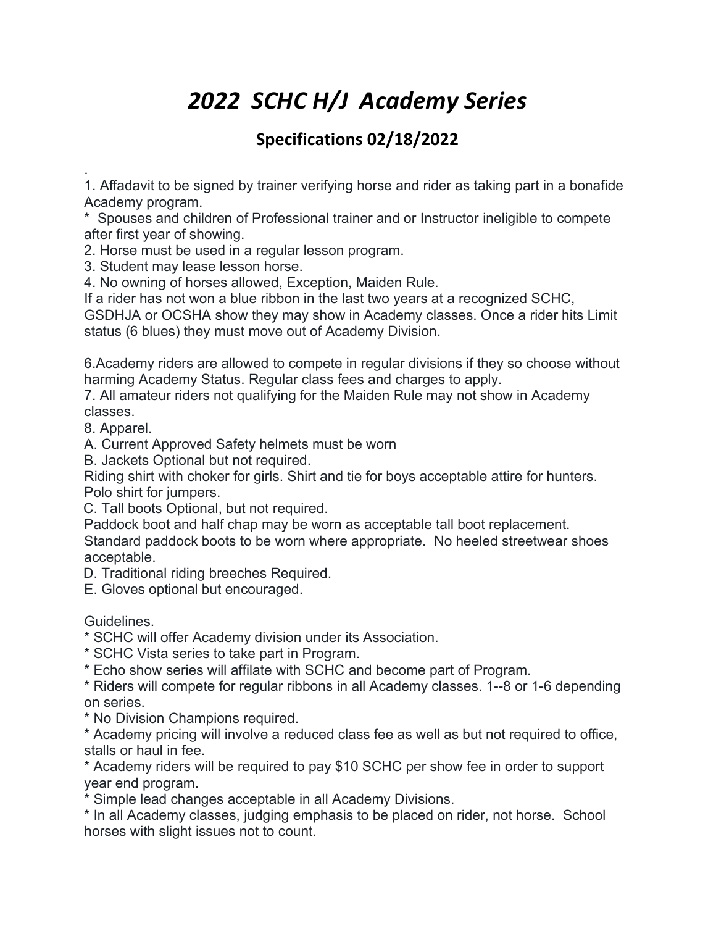# *2022 SCHC H/J Academy Series*

# **Specifications 02/18/2022**

. 1. Affadavit to be signed by trainer verifying horse and rider as taking part in a bonafide Academy program.

\* Spouses and children of Professional trainer and or Instructor ineligible to compete after first year of showing.

2. Horse must be used in a regular lesson program.

3. Student may lease lesson horse.

4. No owning of horses allowed, Exception, Maiden Rule.

If a rider has not won a blue ribbon in the last two years at a recognized SCHC,

GSDHJA or OCSHA show they may show in Academy classes. Once a rider hits Limit status (6 blues) they must move out of Academy Division.

6.Academy riders are allowed to compete in regular divisions if they so choose without harming Academy Status. Regular class fees and charges to apply.

7. All amateur riders not qualifying for the Maiden Rule may not show in Academy classes.

8. Apparel.

A. Current Approved Safety helmets must be worn

B. Jackets Optional but not required.

Riding shirt with choker for girls. Shirt and tie for boys acceptable attire for hunters. Polo shirt for jumpers.

C. Tall boots Optional, but not required.

Paddock boot and half chap may be worn as acceptable tall boot replacement.

Standard paddock boots to be worn where appropriate. No heeled streetwear shoes acceptable.

D. Traditional riding breeches Required.

E. Gloves optional but encouraged.

**Guidelines** 

\* SCHC will offer Academy division under its Association.

\* SCHC Vista series to take part in Program.

\* Echo show series will affilate with SCHC and become part of Program.

\* Riders will compete for regular ribbons in all Academy classes. 1--8 or 1-6 depending on series.

\* No Division Champions required.

\* Academy pricing will involve a reduced class fee as well as but not required to office, stalls or haul in fee.

\* Academy riders will be required to pay \$10 SCHC per show fee in order to support year end program.

\* Simple lead changes acceptable in all Academy Divisions.

\* In all Academy classes, judging emphasis to be placed on rider, not horse. School horses with slight issues not to count.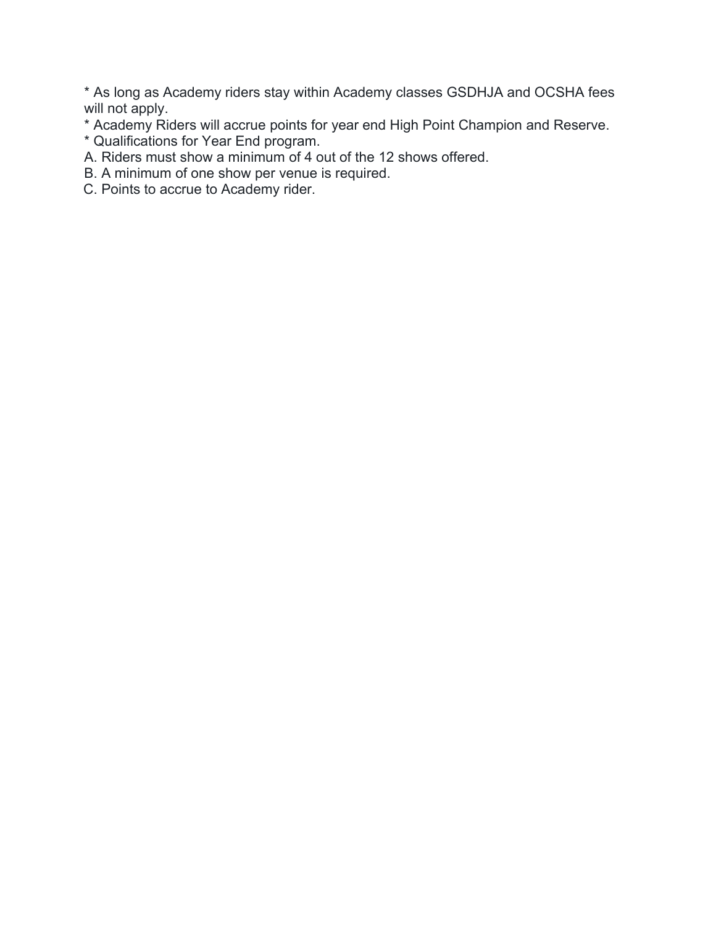\* As long as Academy riders stay within Academy classes GSDHJA and OCSHA fees will not apply.

\* Academy Riders will accrue points for year end High Point Champion and Reserve.

- \* Qualifications for Year End program.
- A. Riders must show a minimum of 4 out of the 12 shows offered.
- B. A minimum of one show per venue is required.
- C. Points to accrue to Academy rider.